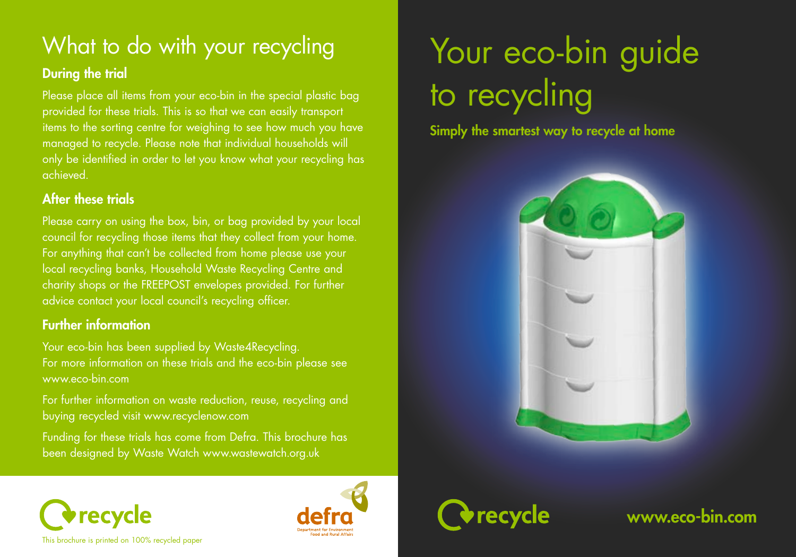# What to do with your recycling

### During the trial

Please place all items from your eco-bin in the special plastic bag provided for these trials. This is so that we can easily transport items to the sorting centre for weighing to see how much you have managed to recycle. Please note that individual households will only be identified in order to let you know what your recycling has achieved.

#### After these trials

Please carry on using the box, bin, or bag provided by your local council for recycling those items that they collect from your home. For anything that can't be collected from home please use your local recycling banks, Household Waste Recycling Centre and charity shops or the FREEPOST envelopes provided. For further advice contact your local council's recycling officer.

### Further information

Your eco-bin has been supplied by Waste4Recycling. For more information on these trials and the eco-bin please see www.eco-bin.com

For further information on waste reduction, reuse, recycling and buying recycled visit www.recyclenow.com

Funding for these trials has come from Defra. This brochure has been designed by Waste Watch www.wastewatch.org.uk

# Your eco-bin guide to recycling

Simply the smartest way to recycle at home





www.eco-bin.com



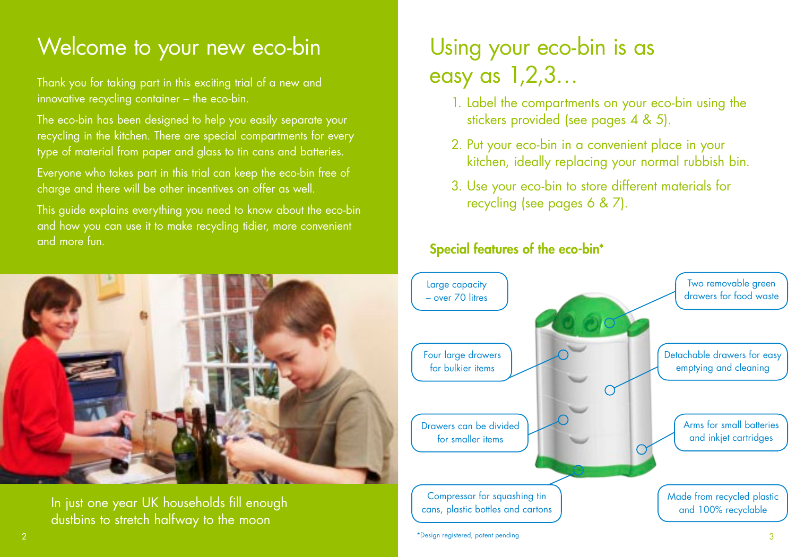### Welcome to your new eco-bin

Thank you for taking part in this exciting trial of a new and innovative recycling container – the eco-bin.

The eco-bin has been designed to help you easily separate your recycling in the kitchen. There are special compartments for every type of material from paper and glass to tin cans and batteries.

Everyone who takes part in this trial can keep the eco-bin free of charge and there will be other incentives on offer as well.

This guide explains everything you need to know about the eco-bin and how you can use it to make recycling tidier, more convenient and more fun.



In just one year UK households fill enough dustbins to stretch halfway to the moon

## Using your eco-bin is as easy as 1,2,3…

- 1. Label the compartments on your eco-bin using the stickers provided (see pages 4 & 5).
- 2. Put your eco-bin in a convenient place in your kitchen, ideally replacing your normal rubbish bin.
- 3. Use your eco-bin to store different materials for recycling (see pages 6 & 7).

### Special features of the eco-bin\*

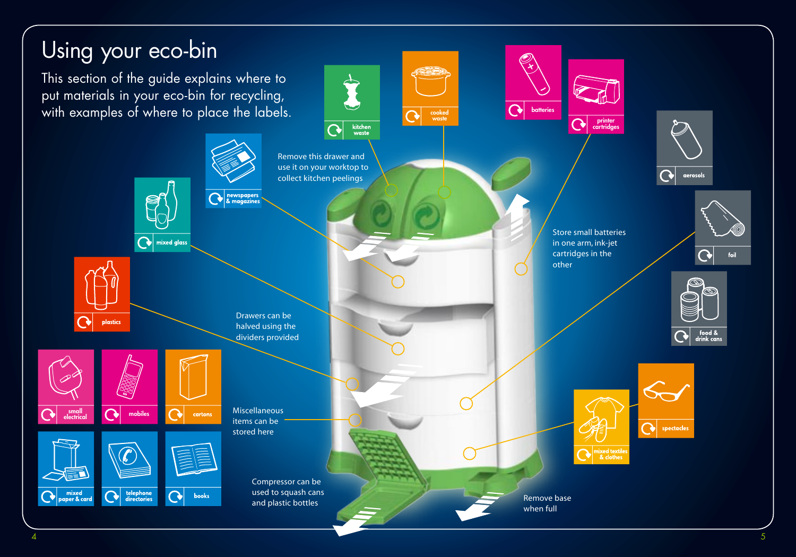